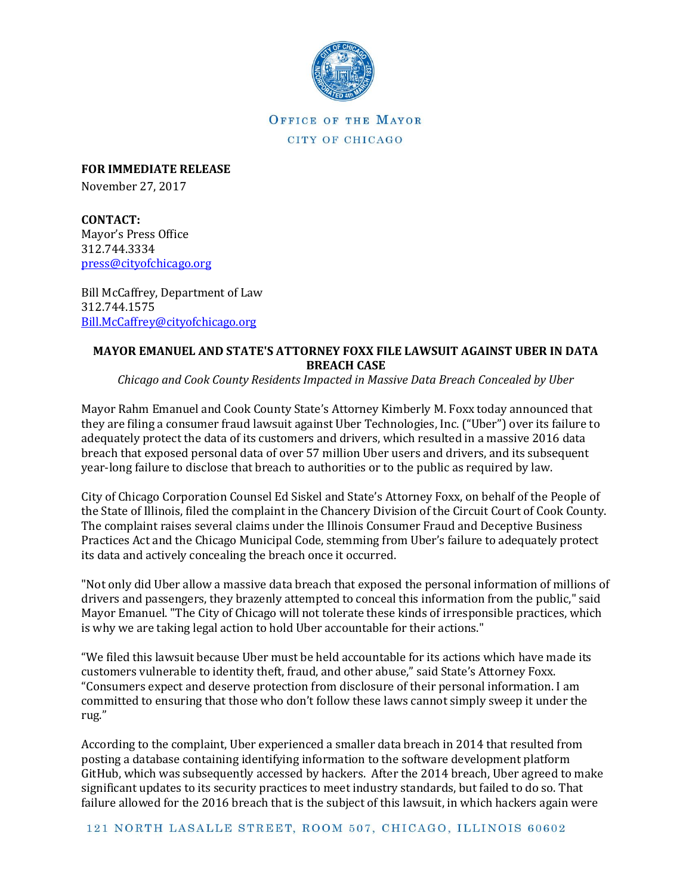

OFFICE OF THE MAYOR CITY OF CHICAGO

**FOR IMMEDIATE RELEASE** November 27, 2017

**CONTACT:** Mayor's Press Office 312.744.3334 [press@cityofchicago.org](mailto:press@cityofchicago.org)

Bill McCaffrey, Department of Law 312.744.1575 [Bill.McCaffrey@cityofchicago.org](mailto:Bill.McCaffrey@cityofchicago.org)

## **MAYOR EMANUEL AND STATE'S ATTORNEY FOXX FILE LAWSUIT AGAINST UBER IN DATA BREACH CASE**

*Chicago and Cook County Residents Impacted in Massive Data Breach Concealed by Uber*

Mayor Rahm Emanuel and Cook County State's Attorney Kimberly M. Foxx today announced that they are filing a consumer fraud lawsuit against Uber Technologies, Inc. ("Uber") over its failure to adequately protect the data of its customers and drivers, which resulted in a massive 2016 data breach that exposed personal data of over 57 million Uber users and drivers, and its subsequent year-long failure to disclose that breach to authorities or to the public as required by law.

City of Chicago Corporation Counsel Ed Siskel and State's Attorney Foxx, on behalf of the People of the State of Illinois, filed the complaint in the Chancery Division of the Circuit Court of Cook County. The complaint raises several claims under the Illinois Consumer Fraud and Deceptive Business Practices Act and the Chicago Municipal Code, stemming from Uber's failure to adequately protect its data and actively concealing the breach once it occurred.

"Not only did Uber allow a massive data breach that exposed the personal information of millions of drivers and passengers, they brazenly attempted to conceal this information from the public," said Mayor Emanuel. "The City of Chicago will not tolerate these kinds of irresponsible practices, which is why we are taking legal action to hold Uber accountable for their actions."

"We filed this lawsuit because Uber must be held accountable for its actions which have made its customers vulnerable to identity theft, fraud, and other abuse," said State's Attorney Foxx. "Consumers expect and deserve protection from disclosure of their personal information. I am committed to ensuring that those who don't follow these laws cannot simply sweep it under the rug."

According to the complaint, Uber experienced a smaller data breach in 2014 that resulted from posting a database containing identifying information to the software development platform GitHub, which was subsequently accessed by hackers. After the 2014 breach, Uber agreed to make significant updates to its security practices to meet industry standards, but failed to do so. That failure allowed for the 2016 breach that is the subject of this lawsuit, in which hackers again were